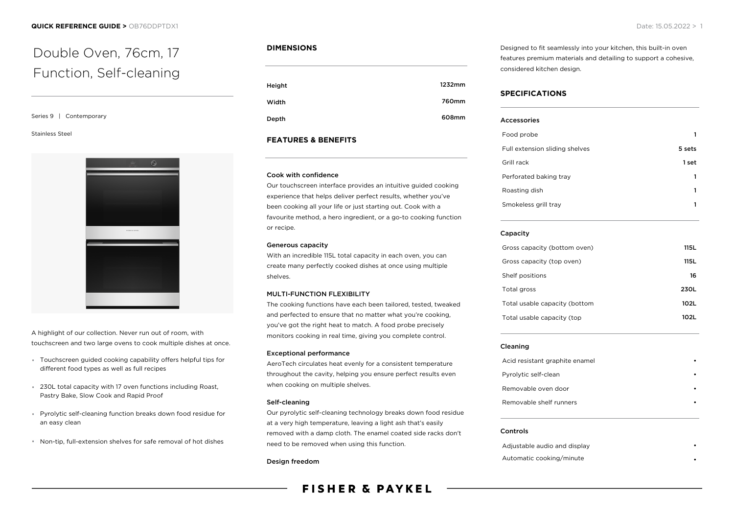# Double Oven, 76cm, 17 Function, Self-cleaning

#### Series 9 | Contemporary

#### Stainless Steel



A highlight of our collection. Never run out of room, with touchscreen and two large ovens to cook multiple dishes at once.

- Touchscreen guided cooking capability offers helpful tips for different food types as well as full recipes
- 230L total capacity with 17 oven functions including Roast, Pastry Bake, Slow Cook and Rapid Proof
- Pyrolytic self-cleaning function breaks down food residue for an easy clean
- Non-tip, full-extension shelves for safe removal of hot dishes

### **DIMENSIONS**

| Height | 1232mm |
|--------|--------|
| Width  | 760mm  |
| Depth  | 608mm  |

# **FEATURES & BENEFITS**

#### Cook with confidence

Our touchscreen interface provides an intuitive guided cooking experience that helps deliver perfect results, whether you've been cooking all your life or just starting out. Cook with a favourite method, a hero ingredient, or a go-to cooking function or recipe.

# Generous capacity

With an incredible 115L total capacity in each oven, you can create many perfectly cooked dishes at once using multiple shelves.

#### MULTI-FUNCTION FLEXIBILITY

The cooking functions have each been tailored, tested, tweaked and perfected to ensure that no matter what you're cooking, you've got the right heat to match. A food probe precisely monitors cooking in real time, giving you complete control.

#### Exceptional performance

AeroTech circulates heat evenly for a consistent temperature throughout the cavity, helping you ensure perfect results even when cooking on multiple shelves.

#### Self-cleaning

Our pyrolytic self-cleaning technology breaks down food residue at a very high temperature, leaving a light ash that's easily removed with a damp cloth. The enamel coated side racks don't need to be removed when using this function.

#### Design freedom

# **FISHER & PAYKEL**

Designed to fit seamlessly into your kitchen, this built-in oven features premium materials and detailing to support a cohesive, considered kitchen design.

# **SPECIFICATIONS**

| Accessories                    |        |
|--------------------------------|--------|
| Food probe                     |        |
| Full extension sliding shelves | 5 sets |
| Grill rack                     | 1 set  |
| Perforated baking tray         |        |
| Roasting dish                  |        |
| Smokeless grill tray           |        |
|                                |        |

### Capacity

| Gross capacity (bottom oven)  | 115 L |
|-------------------------------|-------|
| Gross capacity (top oven)     | 115 L |
| Shelf positions               | 16    |
| Total gross                   | 230L  |
| Total usable capacity (bottom | 102L  |
| Total usable capacity (top    | 102L  |

#### Cleaning

| Acid resistant graphite enamel |  |
|--------------------------------|--|
| Pyrolytic self-clean           |  |
| Removable oven door            |  |
| Removable shelf runners        |  |

#### Controls

Adjustable audio and display • Automatic cooking/minute •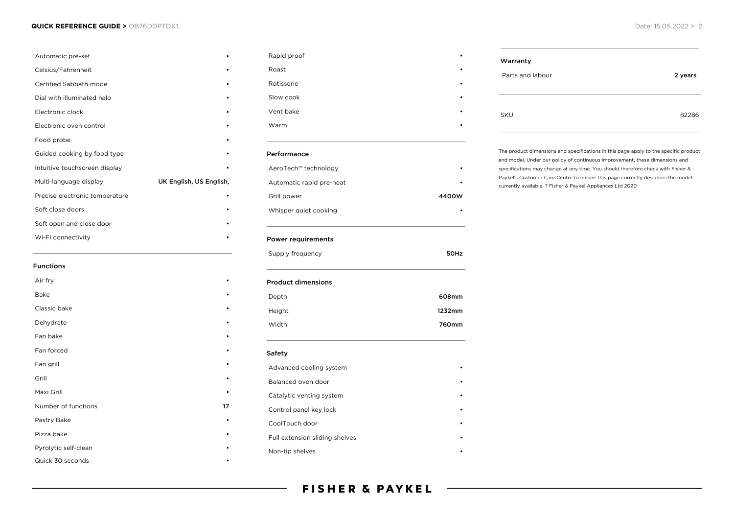#### **QUICK REFERENCE GUIDE >** OB76DDPTDX1 Date: 15.05.2022 > 2

| Automatic pre-set              |                         |
|--------------------------------|-------------------------|
| Celsius/Fahrenheit             |                         |
| Certified Sabbath mode         |                         |
| Dial with illuminated halo     |                         |
| Electronic clock               |                         |
| Electronic oven control        |                         |
| Food probe                     |                         |
| Guided cooking by food type    |                         |
| Intuitive touchscreen display  |                         |
| Multi-language display         | UK English, US English, |
| Precise electronic temperature |                         |
| Soft close doors               |                         |
| Soft open and close door       |                         |
| Wi-Fi connectivity             |                         |
|                                |                         |

| <b>Functions</b>     |           |
|----------------------|-----------|
| Air fry              |           |
| Bake                 |           |
| Classic bake         |           |
| Dehydrate            |           |
| Fan bake             |           |
| Fan forced           |           |
| Fan grill            |           |
| Grill                |           |
| Maxi Grill           | $\bullet$ |
| Number of functions  | 17        |
| Pastry Bake          | ٠         |
| Pizza bake           |           |
| Pyrolytic self-clean |           |
| Quick 30 seconds     |           |

| Rapid proof               |        |
|---------------------------|--------|
| Roast                     |        |
| Rotisserie                |        |
| Slow cook                 |        |
| Vent bake                 |        |
| Warm                      |        |
| Performance               |        |
| AeroTech™ technology      |        |
| Automatic rapid pre-heat  |        |
| Grill power               | 4400W  |
| Whisper quiet cooking     |        |
| <b>Power requirements</b> |        |
| Supply frequency          | 50Hz   |
| <b>Product dimensions</b> |        |
| Depth                     | 608mm  |
| Height                    | 1232mm |
| Width                     | 760mm  |
|                           |        |

# Safety Advanced cooling system **•** Balanced oven door • Catalytic venting system Control panel key lock • CoolTouch door Full extension sliding shelves Non-tip shelves

| Warranty         |         |
|------------------|---------|
| Parts and labour | 2 years |
| <b>SKU</b>       | 82286   |

The product dimensions and specifications in this page apply to the specific product and model. Under our policy of continuous improvement, these dimensions and specifications may change at any time. You should therefore check with Fisher & Paykel's Customer Care Centre to ensure this page correctly describes the model currently available. ? Fisher & Paykel Appliances Ltd 2020